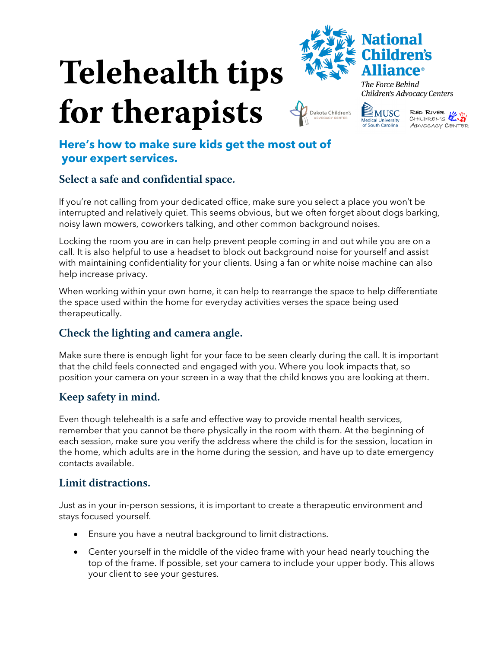# **Telehealth tips**





Dakota Children's

The Force Behind Children's Advocacy Centers



# **Here's how to make sure kids get the most out of your expert services.**

# **Select a safe and confidential space.**

If you're not calling from your dedicated office, make sure you select a place you won't be interrupted and relatively quiet. This seems obvious, but we often forget about dogs barking, noisy lawn mowers, coworkers talking, and other common background noises.

Locking the room you are in can help prevent people coming in and out while you are on a call. It is also helpful to use a headset to block out background noise for yourself and assist with maintaining confidentiality for your clients. Using a fan or white noise machine can also help increase privacy.

When working within your own home, it can help to rearrange the space to help differentiate the space used within the home for everyday activities verses the space being used therapeutically.

# **Check the lighting and camera angle.**

Make sure there is enough light for your face to be seen clearly during the call. It is important that the child feels connected and engaged with you. Where you look impacts that, so position your camera on your screen in a way that the child knows you are looking at them.

# **Keep safety in mind.**

Even though telehealth is a safe and effective way to provide mental health services, remember that you cannot be there physically in the room with them. At the beginning of each session, make sure you verify the address where the child is for the session, location in the home, which adults are in the home during the session, and have up to date emergency contacts available.

#### **Limit distractions.**

Just as in your in-person sessions, it is important to create a therapeutic environment and stays focused yourself.

- Ensure you have a neutral background to limit distractions.
- Center yourself in the middle of the video frame with your head nearly touching the top of the frame. If possible, set your camera to include your upper body. This allows your client to see your gestures.